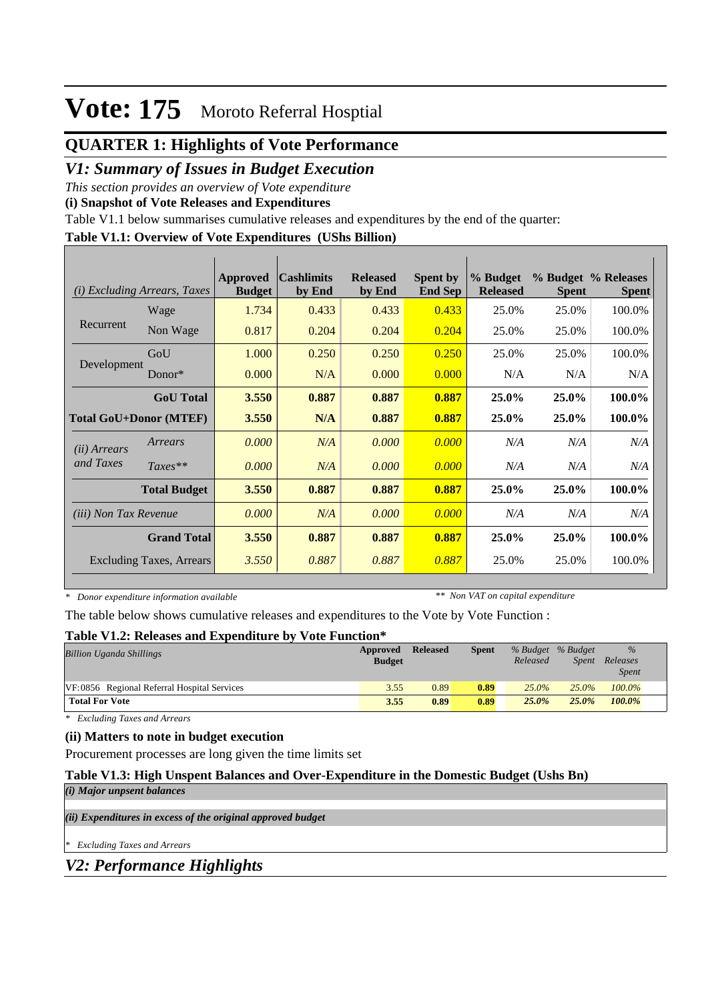## **QUARTER 1: Highlights of Vote Performance**

## *V1: Summary of Issues in Budget Execution*

*This section provides an overview of Vote expenditure* 

**(i) Snapshot of Vote Releases and Expenditures**

Table V1.1 below summarises cumulative releases and expenditures by the end of the quarter:

### **Table V1.1: Overview of Vote Expenditures (UShs Billion)**

| (i)                          | <b>Excluding Arrears, Taxes</b> | Approved<br><b>Budget</b> | <b>Cashlimits</b><br>by End | <b>Released</b><br>by End | <b>Spent by</b><br><b>End Sep</b> | % Budget<br><b>Released</b> | <b>Spent</b> | % Budget % Releases<br><b>Spent</b> |
|------------------------------|---------------------------------|---------------------------|-----------------------------|---------------------------|-----------------------------------|-----------------------------|--------------|-------------------------------------|
|                              | Wage                            | 1.734                     | 0.433                       | 0.433                     | 0.433                             | 25.0%                       | 25.0%        | 100.0%                              |
| Recurrent                    | Non Wage                        | 0.817                     | 0.204                       | 0.204                     | 0.204                             | 25.0%                       | 25.0%        | 100.0%                              |
|                              | GoU                             | 1.000                     | 0.250                       | 0.250                     | 0.250                             | 25.0%                       | 25.0%        | 100.0%                              |
| Development                  | $Donor*$                        | 0.000                     | N/A                         | 0.000                     | 0.000                             | N/A                         | N/A          | N/A                                 |
|                              | <b>GoU</b> Total                | 3.550                     | 0.887                       | 0.887                     | 0.887                             | 25.0%                       | 25.0%        | 100.0%                              |
|                              | <b>Total GoU+Donor (MTEF)</b>   | 3.550                     | N/A                         | 0.887                     | 0.887                             | 25.0%                       | 25.0%        | 100.0%                              |
| ( <i>ii</i> ) Arrears        | Arrears                         | 0.000                     | N/A                         | 0.000                     | 0.000                             | N/A                         | N/A          | N/A                                 |
| and Taxes                    | $Taxes**$                       | 0.000                     | N/A                         | 0.000                     | 0.000                             | N/A                         | N/A          | N/A                                 |
|                              | <b>Total Budget</b>             | 3.550                     | 0.887                       | 0.887                     | 0.887                             | 25.0%                       | 25.0%        | 100.0%                              |
| <i>(iii)</i> Non Tax Revenue |                                 | 0.000                     | N/A                         | 0.000                     | 0.000                             | N/A                         | N/A          | N/A                                 |
|                              | <b>Grand Total</b>              | 3.550                     | 0.887                       | 0.887                     | 0.887                             | 25.0%                       | 25.0%        | 100.0%                              |
|                              | <b>Excluding Taxes, Arrears</b> | 3.550                     | 0.887                       | 0.887                     | 0.887                             | 25.0%                       | 25.0%        | 100.0%                              |

*\* Donor expenditure information available*

*\*\* Non VAT on capital expenditure*

The table below shows cumulative releases and expenditures to the Vote by Vote Function :

#### **Table V1.2: Releases and Expenditure by Vote Function\***

| <b>Billion Uganda Shillings</b>             | Approved<br><b>Budget</b> | <b>Released</b> | <b>Spent</b> | % Budget % Budget<br>Released | Spent    | $\%$<br>Releases<br><b>Spent</b> |
|---------------------------------------------|---------------------------|-----------------|--------------|-------------------------------|----------|----------------------------------|
| VF:0856 Regional Referral Hospital Services | 3.55                      | 0.89            | 0.89         | $25.0\%$                      | $25.0\%$ | $100.0\%$                        |
| <b>Total For Vote</b>                       | 3.55                      | 0.89            | 0.89         | 25.0%                         | 25.0%    | 100.0%                           |

*\* Excluding Taxes and Arrears*

### **(ii) Matters to note in budget execution**

Procurement processes are long given the time limits set

### **Table V1.3: High Unspent Balances and Over-Expenditure in the Domestic Budget (Ushs Bn)**

*(i) Major unpsent balances*

*(ii) Expenditures in excess of the original approved budget*

*\* Excluding Taxes and Arrears*

*V2: Performance Highlights*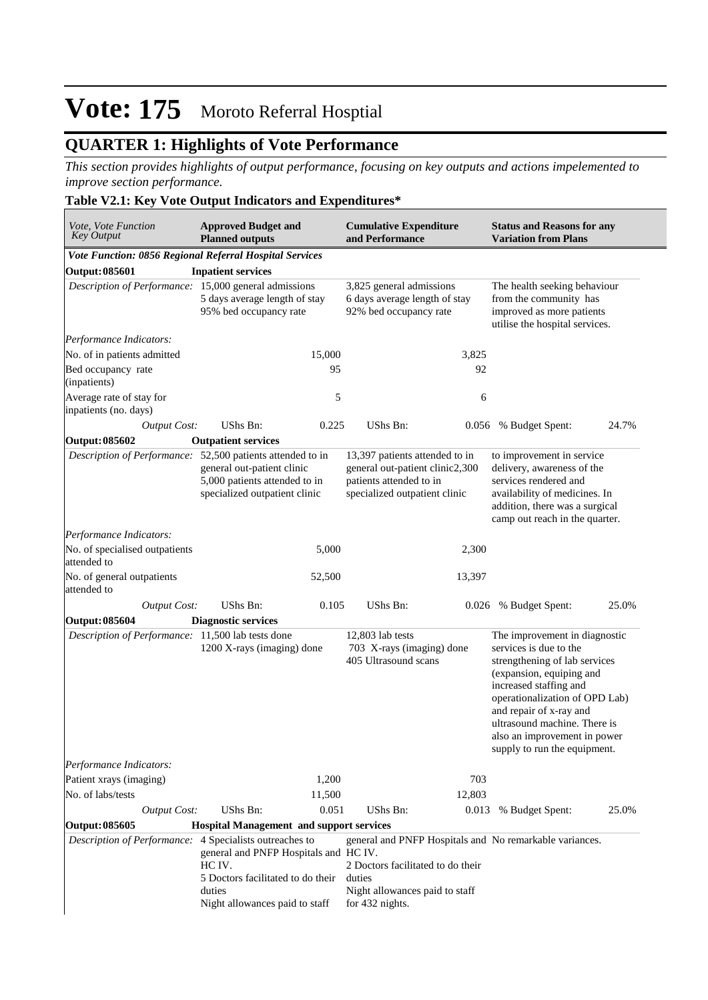## **QUARTER 1: Highlights of Vote Performance**

*This section provides highlights of output performance, focusing on key outputs and actions impelemented to improve section performance.*

### **Table V2.1: Key Vote Output Indicators and Expenditures\***

| Vote, Vote Function<br><b>Key Output</b>                                                                                                           | <b>Approved Budget and</b><br><b>Planned outputs</b>                                                                                                       |                                                                                     | <b>Cumulative Expenditure</b><br>and Performance                                                                              |                                                                                                                       | <b>Status and Reasons for any</b><br><b>Variation from Plans</b>                                                                                                                                                                                                                                            |       |  |  |
|----------------------------------------------------------------------------------------------------------------------------------------------------|------------------------------------------------------------------------------------------------------------------------------------------------------------|-------------------------------------------------------------------------------------|-------------------------------------------------------------------------------------------------------------------------------|-----------------------------------------------------------------------------------------------------------------------|-------------------------------------------------------------------------------------------------------------------------------------------------------------------------------------------------------------------------------------------------------------------------------------------------------------|-------|--|--|
| Vote Function: 0856 Regional Referral Hospital Services                                                                                            |                                                                                                                                                            |                                                                                     |                                                                                                                               |                                                                                                                       |                                                                                                                                                                                                                                                                                                             |       |  |  |
| <b>Output: 085601</b>                                                                                                                              | <b>Inpatient services</b>                                                                                                                                  |                                                                                     |                                                                                                                               |                                                                                                                       |                                                                                                                                                                                                                                                                                                             |       |  |  |
| Description of Performance: 15,000 general admissions<br>5 days average length of stay<br>95% bed occupancy rate                                   |                                                                                                                                                            | 3,825 general admissions<br>6 days average length of stay<br>92% bed occupancy rate |                                                                                                                               | The health seeking behaviour<br>from the community has<br>improved as more patients<br>utilise the hospital services. |                                                                                                                                                                                                                                                                                                             |       |  |  |
| Performance Indicators:                                                                                                                            |                                                                                                                                                            |                                                                                     |                                                                                                                               |                                                                                                                       |                                                                                                                                                                                                                                                                                                             |       |  |  |
| No. of in patients admitted                                                                                                                        |                                                                                                                                                            | 15,000                                                                              |                                                                                                                               | 3,825                                                                                                                 |                                                                                                                                                                                                                                                                                                             |       |  |  |
| Bed occupancy rate<br>(inpatients)                                                                                                                 |                                                                                                                                                            | 95                                                                                  |                                                                                                                               | 92                                                                                                                    |                                                                                                                                                                                                                                                                                                             |       |  |  |
| Average rate of stay for<br>inpatients (no. days)                                                                                                  |                                                                                                                                                            | 5                                                                                   |                                                                                                                               | 6                                                                                                                     |                                                                                                                                                                                                                                                                                                             |       |  |  |
| <b>Output Cost:</b>                                                                                                                                | UShs Bn:                                                                                                                                                   | 0.225                                                                               | <b>UShs Bn:</b>                                                                                                               | 0.056                                                                                                                 | % Budget Spent:                                                                                                                                                                                                                                                                                             | 24.7% |  |  |
| <b>Output: 085602</b>                                                                                                                              | <b>Outpatient services</b>                                                                                                                                 |                                                                                     |                                                                                                                               |                                                                                                                       |                                                                                                                                                                                                                                                                                                             |       |  |  |
|                                                                                                                                                    | Description of Performance: 52,500 patients attended to in<br>general out-patient clinic<br>5,000 patients attended to in<br>specialized outpatient clinic |                                                                                     | 13,397 patients attended to in<br>general out-patient clinic2,300<br>patients attended to in<br>specialized outpatient clinic |                                                                                                                       | to improvement in service<br>delivery, awareness of the<br>services rendered and<br>availability of medicines. In<br>addition, there was a surgical<br>camp out reach in the quarter.                                                                                                                       |       |  |  |
| Performance Indicators:                                                                                                                            |                                                                                                                                                            |                                                                                     |                                                                                                                               |                                                                                                                       |                                                                                                                                                                                                                                                                                                             |       |  |  |
| No. of specialised outpatients<br>attended to                                                                                                      |                                                                                                                                                            | 5,000                                                                               |                                                                                                                               | 2,300                                                                                                                 |                                                                                                                                                                                                                                                                                                             |       |  |  |
| No. of general outpatients<br>attended to                                                                                                          |                                                                                                                                                            | 52,500                                                                              |                                                                                                                               | 13,397                                                                                                                |                                                                                                                                                                                                                                                                                                             |       |  |  |
| <b>Output Cost:</b>                                                                                                                                | <b>UShs Bn:</b>                                                                                                                                            | 0.105                                                                               | <b>UShs Bn:</b>                                                                                                               |                                                                                                                       | 0.026 % Budget Spent:                                                                                                                                                                                                                                                                                       | 25.0% |  |  |
| Output: 085604                                                                                                                                     | <b>Diagnostic services</b>                                                                                                                                 |                                                                                     |                                                                                                                               |                                                                                                                       |                                                                                                                                                                                                                                                                                                             |       |  |  |
| Description of Performance: 11,500 lab tests done                                                                                                  | 1200 X-rays (imaging) done                                                                                                                                 |                                                                                     | 12,803 lab tests<br>703 X-rays (imaging) done<br>405 Ultrasound scans                                                         |                                                                                                                       | The improvement in diagnostic<br>services is due to the<br>strengthening of lab services<br>(expansion, equiping and<br>increased staffing and<br>operationalization of OPD Lab)<br>and repair of x-ray and<br>ultrasound machine. There is<br>also an improvement in power<br>supply to run the equipment. |       |  |  |
| Performance Indicators:                                                                                                                            |                                                                                                                                                            |                                                                                     |                                                                                                                               |                                                                                                                       |                                                                                                                                                                                                                                                                                                             |       |  |  |
| Patient xrays (imaging)                                                                                                                            |                                                                                                                                                            | 1,200                                                                               |                                                                                                                               | 703                                                                                                                   |                                                                                                                                                                                                                                                                                                             |       |  |  |
| No. of labs/tests                                                                                                                                  |                                                                                                                                                            | 11,500                                                                              |                                                                                                                               | 12,803                                                                                                                |                                                                                                                                                                                                                                                                                                             |       |  |  |
| <b>Output Cost:</b>                                                                                                                                | UShs Bn:                                                                                                                                                   | 0.051                                                                               | <b>UShs Bn:</b>                                                                                                               | 0.013                                                                                                                 | % Budget Spent:                                                                                                                                                                                                                                                                                             | 25.0% |  |  |
| <b>Output: 085605</b>                                                                                                                              | <b>Hospital Management and support services</b>                                                                                                            |                                                                                     |                                                                                                                               |                                                                                                                       |                                                                                                                                                                                                                                                                                                             |       |  |  |
| 4 Specialists outreaches to<br>Description of Performance:<br>general and PNFP Hospitals and HC IV.<br>HC IV.<br>5 Doctors facilitated to do their |                                                                                                                                                            |                                                                                     | general and PNFP Hospitals and No remarkable variances.<br>2 Doctors facilitated to do their<br>duties                        |                                                                                                                       |                                                                                                                                                                                                                                                                                                             |       |  |  |
|                                                                                                                                                    | duties<br>Night allowances paid to staff                                                                                                                   |                                                                                     | Night allowances paid to staff<br>for 432 nights.                                                                             |                                                                                                                       |                                                                                                                                                                                                                                                                                                             |       |  |  |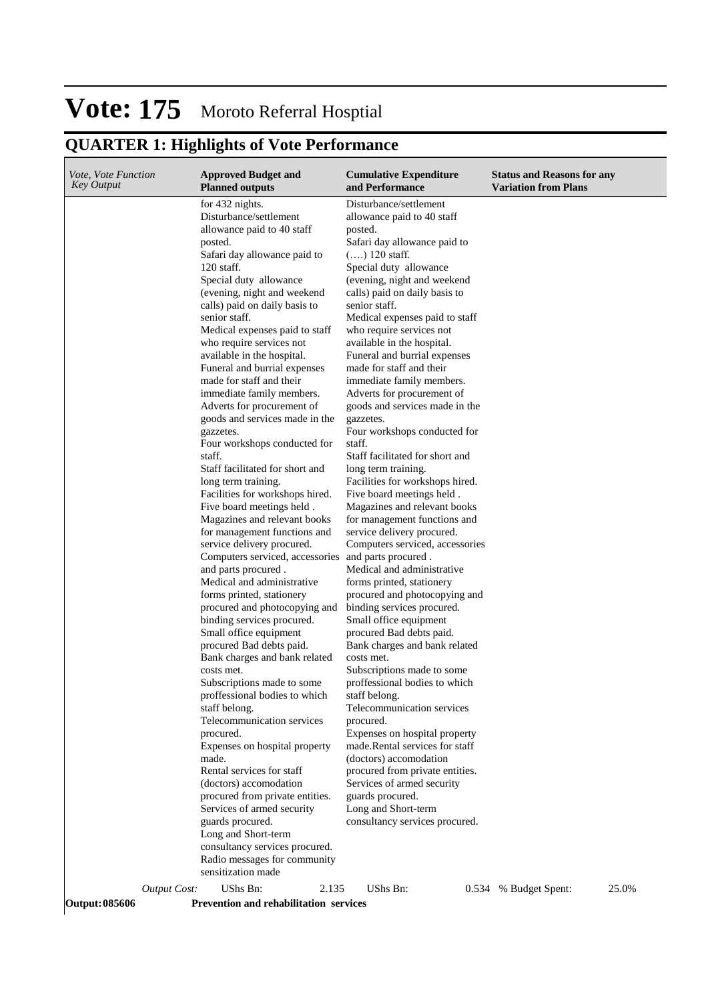## **QUARTER 1: Highlights of Vote Performance**

| <i>Vote, Vote Function</i><br>Key Output |                     | <b>Approved Budget and</b><br><b>Planned outputs</b>                                                                                                                                                                                                                                                                                                                                                                                                                                                                                                                                                                                                                                                                                                                                                                                                                                                                                                                                                                                                                                                                                                                                                                                                                                                                                                                                                                                                                                                                                              | <b>Cumulative Expenditure</b><br>and Performance                                                                                                                                                                                                                                                                                                                                                                                                                                                                                                                                                                                                                                                                                                                                                                                                                                                                                                                                                                                                                                                                                                                                                                                                                                                                                                                                                                      | <b>Status and Reasons for any</b><br><b>Variation from Plans</b> |
|------------------------------------------|---------------------|---------------------------------------------------------------------------------------------------------------------------------------------------------------------------------------------------------------------------------------------------------------------------------------------------------------------------------------------------------------------------------------------------------------------------------------------------------------------------------------------------------------------------------------------------------------------------------------------------------------------------------------------------------------------------------------------------------------------------------------------------------------------------------------------------------------------------------------------------------------------------------------------------------------------------------------------------------------------------------------------------------------------------------------------------------------------------------------------------------------------------------------------------------------------------------------------------------------------------------------------------------------------------------------------------------------------------------------------------------------------------------------------------------------------------------------------------------------------------------------------------------------------------------------------------|-----------------------------------------------------------------------------------------------------------------------------------------------------------------------------------------------------------------------------------------------------------------------------------------------------------------------------------------------------------------------------------------------------------------------------------------------------------------------------------------------------------------------------------------------------------------------------------------------------------------------------------------------------------------------------------------------------------------------------------------------------------------------------------------------------------------------------------------------------------------------------------------------------------------------------------------------------------------------------------------------------------------------------------------------------------------------------------------------------------------------------------------------------------------------------------------------------------------------------------------------------------------------------------------------------------------------------------------------------------------------------------------------------------------------|------------------------------------------------------------------|
|                                          |                     | for 432 nights.<br>Disturbance/settlement<br>allowance paid to 40 staff<br>posted.<br>Safari day allowance paid to<br>120 staff.<br>Special duty allowance<br>(evening, night and weekend<br>calls) paid on daily basis to<br>senior staff.<br>Medical expenses paid to staff<br>who require services not<br>available in the hospital.<br>Funeral and burrial expenses<br>made for staff and their<br>immediate family members.<br>Adverts for procurement of<br>goods and services made in the<br>gazzetes.<br>Four workshops conducted for<br>staff.<br>Staff facilitated for short and<br>long term training.<br>Facilities for workshops hired.<br>Five board meetings held.<br>Magazines and relevant books<br>for management functions and<br>service delivery procured.<br>Computers serviced, accessories and parts procured.<br>and parts procured.<br>Medical and administrative<br>forms printed, stationery<br>procured and photocopying and<br>binding services procured.<br>Small office equipment<br>procured Bad debts paid.<br>Bank charges and bank related<br>costs met.<br>Subscriptions made to some<br>proffessional bodies to which<br>staff belong.<br>Telecommunication services<br>procured.<br>Expenses on hospital property<br>made.<br>Rental services for staff<br>(doctors) accomodation<br>procured from private entities.<br>Services of armed security<br>guards procured.<br>Long and Short-term<br>consultancy services procured.<br>Radio messages for community<br>sensitization made<br>UShs Bn:<br>2.135 | Disturbance/settlement<br>allowance paid to 40 staff<br>posted.<br>Safari day allowance paid to<br>$()$ 120 staff.<br>Special duty allowance<br>(evening, night and weekend<br>calls) paid on daily basis to<br>senior staff.<br>Medical expenses paid to staff<br>who require services not<br>available in the hospital.<br>Funeral and burrial expenses<br>made for staff and their<br>immediate family members.<br>Adverts for procurement of<br>goods and services made in the<br>gazzetes.<br>Four workshops conducted for<br>staff.<br>Staff facilitated for short and<br>long term training.<br>Facilities for workshops hired.<br>Five board meetings held.<br>Magazines and relevant books<br>for management functions and<br>service delivery procured.<br>Computers serviced, accessories<br>Medical and administrative<br>forms printed, stationery<br>procured and photocopying and<br>binding services procured.<br>Small office equipment<br>procured Bad debts paid.<br>Bank charges and bank related<br>costs met.<br>Subscriptions made to some<br>proffessional bodies to which<br>staff belong.<br>Telecommunication services<br>procured.<br>Expenses on hospital property<br>made.Rental services for staff<br>(doctors) accomodation<br>procured from private entities.<br>Services of armed security<br>guards procured.<br>Long and Short-term<br>consultancy services procured.<br>UShs Bn: | 25.0%                                                            |
| <b>Output: 085606</b>                    | <b>Output Cost:</b> | <b>Prevention and rehabilitation services</b>                                                                                                                                                                                                                                                                                                                                                                                                                                                                                                                                                                                                                                                                                                                                                                                                                                                                                                                                                                                                                                                                                                                                                                                                                                                                                                                                                                                                                                                                                                     |                                                                                                                                                                                                                                                                                                                                                                                                                                                                                                                                                                                                                                                                                                                                                                                                                                                                                                                                                                                                                                                                                                                                                                                                                                                                                                                                                                                                                       | 0.534 % Budget Spent:                                            |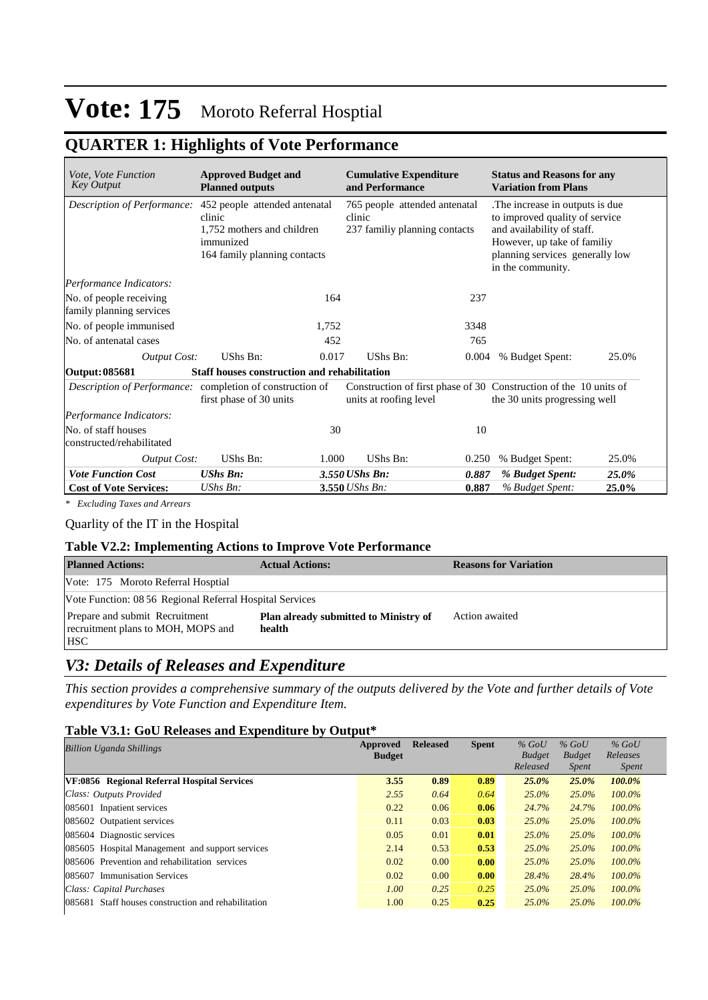## **QUARTER 1: Highlights of Vote Performance**

| <i>Vote, Vote Function</i><br><b>Key Output</b>           | <b>Approved Budget and</b><br><b>Planned outputs</b>                                                                                           |       | <b>Cumulative Expenditure</b><br>and Performance                                            |       | <b>Status and Reasons for any</b><br><b>Variation from Plans</b>                                                                                                                       |       |  |
|-----------------------------------------------------------|------------------------------------------------------------------------------------------------------------------------------------------------|-------|---------------------------------------------------------------------------------------------|-------|----------------------------------------------------------------------------------------------------------------------------------------------------------------------------------------|-------|--|
|                                                           | Description of Performance: 452 people attended antenatal<br>clinic<br>1,752 mothers and children<br>immunized<br>164 family planning contacts |       | 765 people attended antenatal<br>clinic<br>237 familiy planning contacts                    |       | The increase in outputs is due.<br>to improved quality of service<br>and availability of staff.<br>However, up take of familiy<br>planning services generally low<br>in the community. |       |  |
| Performance Indicators:                                   |                                                                                                                                                |       |                                                                                             |       |                                                                                                                                                                                        |       |  |
| No. of people receiving<br>family planning services       |                                                                                                                                                | 164   |                                                                                             | 237   |                                                                                                                                                                                        |       |  |
| No. of people immunised                                   |                                                                                                                                                | 1,752 |                                                                                             | 3348  |                                                                                                                                                                                        |       |  |
| No. of antenatal cases                                    |                                                                                                                                                | 452   |                                                                                             | 765   |                                                                                                                                                                                        |       |  |
| <b>Output Cost:</b>                                       | UShs Bn:                                                                                                                                       | 0.017 | UShs Bn:                                                                                    | 0.004 | % Budget Spent:                                                                                                                                                                        | 25.0% |  |
| Output: 085681                                            | <b>Staff houses construction and rehabilitation</b>                                                                                            |       |                                                                                             |       |                                                                                                                                                                                        |       |  |
| Description of Performance: completion of construction of | first phase of 30 units                                                                                                                        |       | Construction of first phase of 30 Construction of the 10 units of<br>units at roofing level |       | the 30 units progressing well                                                                                                                                                          |       |  |
| Performance Indicators:                                   |                                                                                                                                                |       |                                                                                             |       |                                                                                                                                                                                        |       |  |
| No. of staff houses<br>constructed/rehabilitated          |                                                                                                                                                | 30    |                                                                                             | 10    |                                                                                                                                                                                        |       |  |
| <b>Output Cost:</b>                                       | UShs Bn:                                                                                                                                       | 1.000 | UShs Bn:                                                                                    | 0.250 | % Budget Spent:                                                                                                                                                                        | 25.0% |  |
| <b>Vote Function Cost</b>                                 | <b>UShs Bn:</b>                                                                                                                                |       | 3.550 UShs Bn:                                                                              | 0.887 | % Budget Spent:                                                                                                                                                                        | 25.0% |  |
| <b>Cost of Vote Services:</b>                             | $UShs Bn$ :                                                                                                                                    |       | 3.550 UShs Bn:                                                                              | 0.887 | % Budget Spent:                                                                                                                                                                        | 25.0% |  |

*\* Excluding Taxes and Arrears*

### Quarlity of the IT in the Hospital

#### **Table V2.2: Implementing Actions to Improve Vote Performance**

| <b>Planned Actions:</b>                                                            | <b>Actual Actions:</b>                                 | <b>Reasons for Variation</b> |
|------------------------------------------------------------------------------------|--------------------------------------------------------|------------------------------|
| Vote: 175 Moroto Referral Hosptial                                                 |                                                        |                              |
| Vote Function: 08 56 Regional Referral Hospital Services                           |                                                        |                              |
| Prepare and submit Recruitment<br>recruitment plans to MOH, MOPS and<br><b>HSC</b> | <b>Plan already submitted to Ministry of</b><br>health | Action awaited               |

### *V3: Details of Releases and Expenditure*

*This section provides a comprehensive summary of the outputs delivered by the Vote and further details of Vote expenditures by Vote Function and Expenditure Item.*

#### **Table V3.1: GoU Releases and Expenditure by Output\***

| <b>Billion Uganda Shillings</b>                     | Approved<br><b>Budget</b> | <b>Released</b> | <b>Spent</b> | $%$ GoU<br><b>Budget</b><br>Released | $%$ GoU<br><b>Budget</b><br><i>Spent</i> | $%$ GoU<br>Releases<br><i>Spent</i> |
|-----------------------------------------------------|---------------------------|-----------------|--------------|--------------------------------------|------------------------------------------|-------------------------------------|
| VF:0856 Regional Referral Hospital Services         | 3.55                      | 0.89            | 0.89         | $25.0\%$                             | $25.0\%$                                 | 100.0%                              |
| Class: Outputs Provided                             | 2.55                      | 0.64            | 0.64         | $25.0\%$                             | 25.0%                                    | $100.0\%$                           |
| 085601 Inpatient services                           | 0.22                      | 0.06            | 0.06         | 24.7%                                | 24.7%                                    | $100.0\%$                           |
| 085602 Outpatient services                          | 0.11                      | 0.03            | 0.03         | $25.0\%$                             | 25.0%                                    | $100.0\%$                           |
| 085604 Diagnostic services                          | 0.05                      | 0.01            | 0.01         | $25.0\%$                             | $25.0\%$                                 | $100.0\%$                           |
| 085605 Hospital Management and support services     | 2.14                      | 0.53            | 0.53         | $25.0\%$                             | $25.0\%$                                 | $100.0\%$                           |
| 085606 Prevention and rehabilitation services       | 0.02                      | 0.00            | 0.00         | $25.0\%$                             | $25.0\%$                                 | $100.0\%$                           |
| <b>Immunisation Services</b><br>085607              | 0.02                      | 0.00            | 0.00         | 28.4%                                | 28.4%                                    | $100.0\%$                           |
| Class: Capital Purchases                            | 1.00                      | 0.25            | 0.25         | $25.0\%$                             | $25.0\%$                                 | $100.0\%$                           |
| 085681 Staff houses construction and rehabilitation | 1.00                      | 0.25            | 0.25         | $25.0\%$                             | 25.0%                                    | $100.0\%$                           |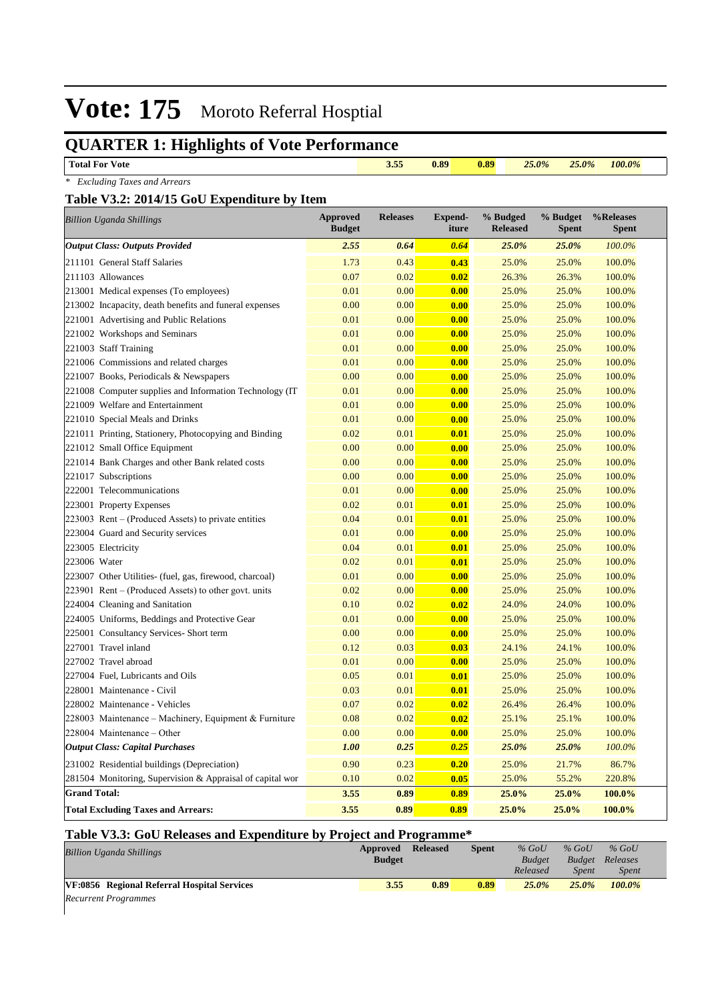## **QUARTER 1: Highlights of Vote Performance**

| <b>Total For Vote</b>                                     |                                  | 3.55            | 0.89                    | 0.89                        | 25.0%<br>25.0%           | 100.0%                    |
|-----------------------------------------------------------|----------------------------------|-----------------|-------------------------|-----------------------------|--------------------------|---------------------------|
| * Excluding Taxes and Arrears                             |                                  |                 |                         |                             |                          |                           |
| Table V3.2: 2014/15 GoU Expenditure by Item               |                                  |                 |                         |                             |                          |                           |
| <b>Billion Uganda Shillings</b>                           | <b>Approved</b><br><b>Budget</b> | <b>Releases</b> | <b>Expend-</b><br>iture | % Budged<br><b>Released</b> | % Budget<br><b>Spent</b> | %Releases<br><b>Spent</b> |
| <b>Output Class: Outputs Provided</b>                     | 2.55                             | 0.64            | 0.64                    | 25.0%                       | 25.0%                    | 100.0%                    |
| 211101 General Staff Salaries                             | 1.73                             | 0.43            | 0.43                    | 25.0%                       | 25.0%                    | 100.0%                    |
| 211103 Allowances                                         | 0.07                             | 0.02            | 0.02                    | 26.3%                       | 26.3%                    | 100.0%                    |
| 213001 Medical expenses (To employees)                    | 0.01                             | 0.00            | 0.00                    | 25.0%                       | 25.0%                    | 100.0%                    |
| 213002 Incapacity, death benefits and funeral expenses    | 0.00                             | 0.00            | 0.00                    | 25.0%                       | 25.0%                    | 100.0%                    |
| 221001 Advertising and Public Relations                   | 0.01                             | 0.00            | 0.00                    | 25.0%                       | 25.0%                    | 100.0%                    |
| 221002 Workshops and Seminars                             | 0.01                             | 0.00            | 0.00                    | 25.0%                       | 25.0%                    | 100.0%                    |
| 221003 Staff Training                                     | 0.01                             | 0.00            | 0.00                    | 25.0%                       | 25.0%                    | 100.0%                    |
| 221006 Commissions and related charges                    | 0.01                             | 0.00            | 0.00                    | 25.0%                       | 25.0%                    | 100.0%                    |
| 221007 Books, Periodicals & Newspapers                    | 0.00                             | 0.00            | 0.00                    | 25.0%                       | 25.0%                    | 100.0%                    |
| 221008 Computer supplies and Information Technology (IT   | 0.01                             | 0.00            | 0.00                    | 25.0%                       | 25.0%                    | 100.0%                    |
| 221009 Welfare and Entertainment                          | 0.01                             | 0.00            | 0.00                    | 25.0%                       | 25.0%                    | 100.0%                    |
| 221010 Special Meals and Drinks                           | 0.01                             | 0.00            | 0.00                    | 25.0%                       | 25.0%                    | 100.0%                    |
| 221011 Printing, Stationery, Photocopying and Binding     | 0.02                             | 0.01            | 0.01                    | 25.0%                       | 25.0%                    | 100.0%                    |
| 221012 Small Office Equipment                             | 0.00                             | 0.00            | 0.00                    | 25.0%                       | 25.0%                    | 100.0%                    |
| 221014 Bank Charges and other Bank related costs          | 0.00                             | 0.00            | 0.00                    | 25.0%                       | 25.0%                    | 100.0%                    |
| 221017 Subscriptions                                      | 0.00                             | 0.00            | 0.00                    | 25.0%                       | 25.0%                    | 100.0%                    |
| 222001 Telecommunications                                 | 0.01                             | 0.00            | 0.00                    | 25.0%                       | 25.0%                    | 100.0%                    |
| 223001 Property Expenses                                  | 0.02                             | 0.01            | 0.01                    | 25.0%                       | 25.0%                    | 100.0%                    |
| 223003 Rent – (Produced Assets) to private entities       | 0.04                             | 0.01            | 0.01                    | 25.0%                       | 25.0%                    | 100.0%                    |
| 223004 Guard and Security services                        | 0.01                             | 0.00            | 0.00                    | 25.0%                       | 25.0%                    | 100.0%                    |
| 223005 Electricity                                        | 0.04                             | 0.01            | 0.01                    | 25.0%                       | 25.0%                    | 100.0%                    |
| 223006 Water                                              | 0.02                             | 0.01            | 0.01                    | 25.0%                       | 25.0%                    | 100.0%                    |
| 223007 Other Utilities- (fuel, gas, firewood, charcoal)   | 0.01                             | 0.00            | 0.00                    | 25.0%                       | 25.0%                    | 100.0%                    |
| 223901 Rent – (Produced Assets) to other govt. units      | 0.02                             | 0.00            | 0.00                    | 25.0%                       | 25.0%                    | 100.0%                    |
| 224004 Cleaning and Sanitation                            | 0.10                             | 0.02            | 0.02                    | 24.0%                       | 24.0%                    | 100.0%                    |
| 224005 Uniforms, Beddings and Protective Gear             | 0.01                             | 0.00            | 0.00                    | 25.0%                       | 25.0%                    | 100.0%                    |
| 225001 Consultancy Services- Short term                   | 0.00                             | 0.00            | 0.00                    | 25.0%                       | 25.0%                    | 100.0%                    |
| 227001 Travel inland                                      | 0.12                             | 0.03            | 0.03                    | 24.1%                       | 24.1%                    | 100.0%                    |
| 227002 Travel abroad                                      | 0.01                             | 0.00            | 0.00                    | 25.0%                       | 25.0%                    | 100.0%                    |
| 227004 Fuel, Lubricants and Oils                          | 0.05                             | 0.01            | 0.01                    | 25.0%                       | 25.0%                    | 100.0%                    |
| 228001 Maintenance - Civil                                | 0.03                             | 0.01            | 0.01                    | 25.0%                       | 25.0%                    | 100.0%                    |
| 228002 Maintenance - Vehicles                             | 0.07                             | 0.02            | 0.02                    | 26.4%                       | 26.4%                    | 100.0%                    |
| 228003 Maintenance – Machinery, Equipment & Furniture     | 0.08                             | 0.02            | 0.02                    | 25.1%                       | 25.1%                    | 100.0%                    |
| 228004 Maintenance - Other                                | 0.00                             | 0.00            | 0.00                    | 25.0%                       | 25.0%                    | 100.0%                    |
| <b>Output Class: Capital Purchases</b>                    | <b>1.00</b>                      | 0.25            | 0.25                    | 25.0%                       | 25.0%                    | 100.0%                    |
| 231002 Residential buildings (Depreciation)               | 0.90                             | 0.23            | 0.20                    | 25.0%                       | 21.7%                    | 86.7%                     |
| 281504 Monitoring, Supervision & Appraisal of capital wor | 0.10                             | 0.02            | 0.05                    | 25.0%                       | 55.2%                    | 220.8%                    |
| <b>Grand Total:</b>                                       | 3.55                             | 0.89            | 0.89                    | 25.0%                       | 25.0%                    | 100.0%                    |
| <b>Total Excluding Taxes and Arrears:</b>                 | 3.55                             | 0.89            | 0.89                    | 25.0%                       | 25.0%                    | 100.0%                    |

### **Table V3.3: GoU Releases and Expenditure by Project and Programme\***

| <b>Billion Uganda Shillings</b>             | Approved<br><b>Budget</b> | <b>Released</b> | Spent | $%$ GoU<br><b>Budget</b> | $%$ GoU<br><b>Budget</b> | $%$ GoU<br>Releases |  |
|---------------------------------------------|---------------------------|-----------------|-------|--------------------------|--------------------------|---------------------|--|
|                                             |                           |                 |       | Released                 | <b>Spent</b>             | <i>Spent</i>        |  |
| VF:0856 Regional Referral Hospital Services | 3.55                      | 0.89            | 0.89  | 25.0%                    | $25.0\%$                 | 100.0%              |  |
| $D_{\text{a}}$                              |                           |                 |       |                          |                          |                     |  |

*Recurrent Programmes*